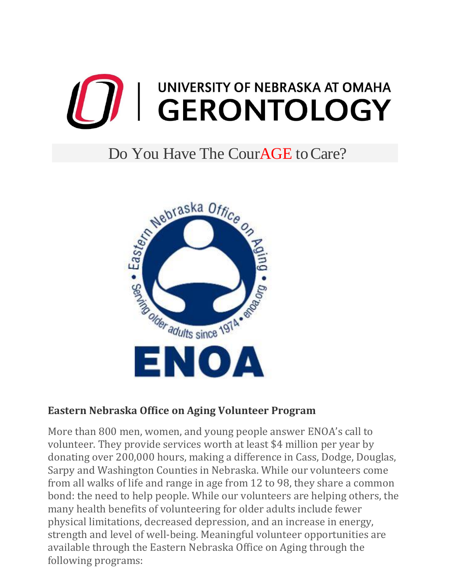

## Do You Have The Cour**AGE** to Care?



## **Eastern Nebraska Office on Aging Volunteer Program**

More than 800 men, women, and young people answer ENOA's call to volunteer. They provide services worth at least \$4 million per year by donating over 200,000 hours, making a difference in Cass, Dodge, Douglas, Sarpy and Washington Counties in Nebraska. While our volunteers come from all walks of life and range in age from 12 to 98, they share a common bond: the need to help people. While our volunteers are helping others, the many health benefits of volunteering for older adults include fewer physical limitations, decreased depression, and an increase in energy, strength and level of well-being. Meaningful volunteer opportunities are available through the Eastern Nebraska Office on Aging through the following programs: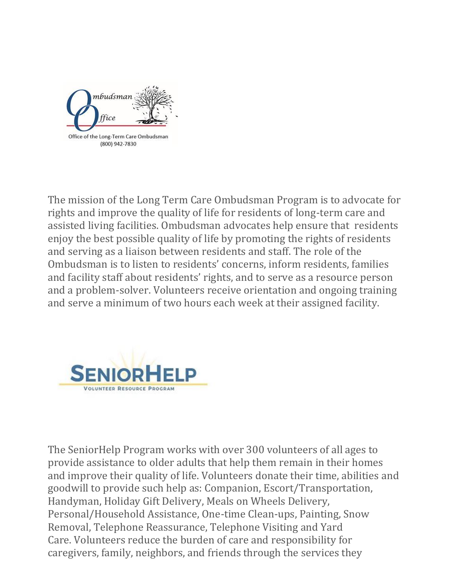

The mission of the Long Term Care Ombudsman Program is to advocate for rights and improve the quality of life for residents of long-term care and assisted living facilities. Ombudsman advocates help ensure that residents enjoy the best possible quality of life by promoting the rights of residents and serving as a liaison between residents and staff. The role of the Ombudsman is to listen to residents' concerns, inform residents, families and facility staff about residents' rights, and to serve as a resource person and a problem-solver. Volunteers receive orientation and ongoing training and serve a minimum of two hours each week at their assigned facility.



The SeniorHelp Program works with over 300 volunteers of all ages to provide assistance to older adults that help them remain in their homes and improve their quality of life. Volunteers donate their time, abilities and goodwill to provide such help as: Companion, Escort/Transportation, Handyman, Holiday Gift Delivery, Meals on Wheels Delivery, Personal/Household Assistance, One-time Clean-ups, Painting, Snow Removal, Telephone Reassurance, Telephone Visiting and Yard Care. Volunteers reduce the burden of care and responsibility for caregivers, family, neighbors, and friends through the services they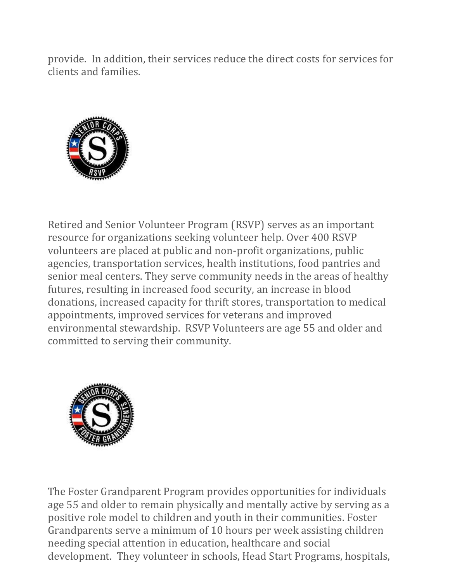provide. In addition, their services reduce the direct costs for services for clients and families.



Retired and Senior Volunteer Program (RSVP) serves as an important resource for organizations seeking volunteer help. Over 400 RSVP volunteers are placed at public and non-profit organizations, public agencies, transportation services, health institutions, food pantries and senior meal centers. They serve community needs in the areas of healthy futures, resulting in increased food security, an increase in blood donations, increased capacity for thrift stores, transportation to medical appointments, improved services for veterans and improved environmental stewardship. RSVP Volunteers are age 55 and older and committed to serving their community.



The Foster Grandparent Program provides opportunities for individuals age 55 and older to remain physically and mentally active by serving as a positive role model to children and youth in their communities. Foster Grandparents serve a minimum of 10 hours per week assisting children needing special attention in education, healthcare and social development. They volunteer in schools, Head Start Programs, hospitals,